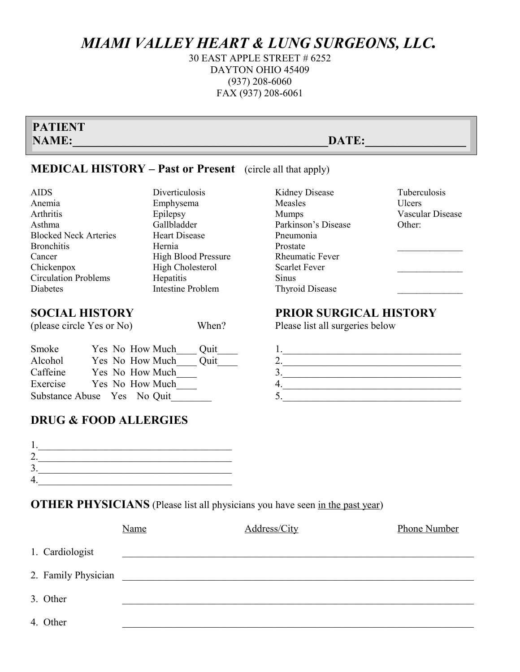### *MIAMI VALLEY HEART & LUNG SURGEONS, LLC.*

30 EAST APPLE STREET # 6252 DAYTON OHIO 45409 (937) 208-6060 FAX (937) 208-6061

| <b>PATIENT</b> |       |
|----------------|-------|
| <b>NAME:</b>   | DATE: |
|                |       |

Kidney Disease

Parkinson's Disease

Rheumatic Fever Scarlet Fever

Thyroid Disease

Measles Mumps

Sinus

Pneumonia Prostate

#### **MEDICAL HISTORY – Past or Present** (circle all that apply)

Diverticulosis Emphysema Epilepsy Gallbladder Heart Disease

High Blood Pressure High Cholesterol

Intestine Problem

Hernia

**Hepatitis** 

| <b>AIDS</b>                  |
|------------------------------|
| Anemia                       |
| Arthritis                    |
| Asthma                       |
| <b>Blocked Neck Arteries</b> |
| <b>Bronchitis</b>            |
| Cancer                       |
| Chickenpox                   |
| <b>Circulation Problems</b>  |
| Diabetes                     |

### **SOCIAL HISTORY PRIOR SURGICAL HISTORY**

| Smoke                       |  | Yes No How Much | Quit |  |
|-----------------------------|--|-----------------|------|--|
| Alcohol                     |  | Yes No How Much | Quit |  |
| Caffeine                    |  | Yes No How Much |      |  |
| Exercise                    |  | Yes No How Much |      |  |
| Substance Abuse Yes No Quit |  |                 |      |  |

## (please circle Yes or No)When? Please list all surgeries below  $1.$

Tuberculosis Ulcers

Other:

Vascular Disease

 $\mathcal{L}_\text{max}$ 

 $\frac{1}{2}$ 

 $\mathcal{L}_\text{max}$ 

#### **DRUG & FOOD ALLERGIES**

#### **OTHER PHYSICIANS** (Please list all physicians you have seen <u>in the past year</u>)

|                     | <b>Name</b> | Address/City | <b>Phone Number</b> |
|---------------------|-------------|--------------|---------------------|
| 1. Cardiologist     |             |              |                     |
| 2. Family Physician |             |              |                     |
| 3. Other            |             |              |                     |
| 4. Other            |             |              |                     |